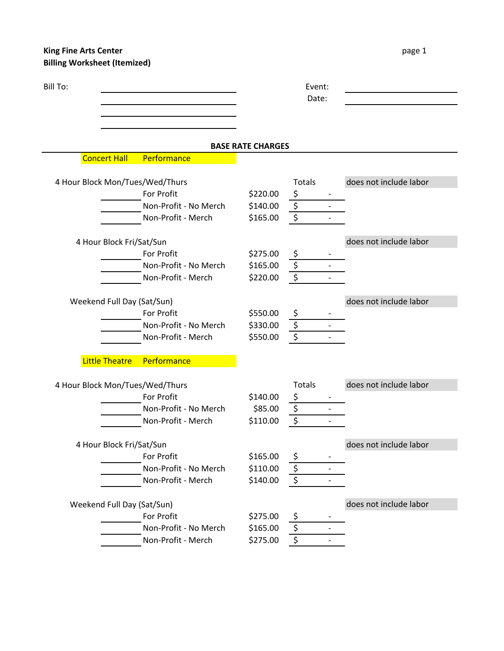## **King Fine Arts Center CENTER page 1 Billing Worksheet (Itemized)**

|  | pa |
|--|----|

| Bill To: |                          |                                 |                          | Event:<br>Date:                     |                        |
|----------|--------------------------|---------------------------------|--------------------------|-------------------------------------|------------------------|
|          |                          |                                 | <b>BASE RATE CHARGES</b> |                                     |                        |
|          | <b>Concert Hall</b>      | Performance                     |                          |                                     |                        |
|          |                          | 4 Hour Block Mon/Tues/Wed/Thurs |                          | <b>Totals</b>                       | does not include labor |
|          |                          | For Profit                      | \$220.00                 | \$                                  |                        |
|          |                          | Non-Profit - No Merch           | \$140.00                 | $\overline{\xi}$                    |                        |
|          |                          | Non-Profit - Merch              | \$165.00                 | \$                                  |                        |
|          | 4 Hour Block Fri/Sat/Sun |                                 |                          |                                     | does not include labor |
|          |                          | For Profit                      | \$275.00                 | Ş                                   |                        |
|          |                          | Non-Profit - No Merch           | \$165.00                 | $\overline{\xi}$                    |                        |
|          |                          | Non-Profit - Merch              | \$220.00                 | $\boldsymbol{\zeta}$                |                        |
|          |                          | Weekend Full Day (Sat/Sun)      |                          |                                     | does not include labor |
|          |                          | For Profit                      | \$550.00                 | \$                                  |                        |
|          |                          | Non-Profit - No Merch           | \$330.00                 | $\overline{\boldsymbol{\varsigma}}$ |                        |
|          |                          | Non-Profit - Merch              | \$550.00                 | $\overline{\xi}$                    |                        |
|          | <b>Little Theatre</b>    | Performance                     |                          |                                     |                        |
|          |                          | 4 Hour Block Mon/Tues/Wed/Thurs |                          | Totals                              | does not include labor |
|          |                          | For Profit                      | \$140.00                 | \$                                  |                        |
|          |                          | Non-Profit - No Merch           | \$85.00                  | $\overline{\mathcal{S}}$            |                        |
|          |                          | Non-Profit - Merch              | \$110.00                 | $\overline{\xi}$                    |                        |
|          | 4 Hour Block Fri/Sat/Sun |                                 |                          |                                     | does not include labor |
|          |                          | For Profit                      | \$165.00                 | \$                                  |                        |
|          |                          | Non-Profit - No Merch           | \$110.00                 | $\overline{\boldsymbol{\zeta}}$     |                        |
|          |                          | Non-Profit - Merch              | \$140.00                 | $\overline{\xi}$                    |                        |
|          |                          | Weekend Full Day (Sat/Sun)      |                          |                                     | does not include labor |
|          |                          | For Profit                      | \$275.00                 | Ş                                   |                        |
|          |                          | Non-Profit - No Merch           | \$165.00                 | $\overline{\xi}$                    |                        |
|          |                          | Non-Profit - Merch              | \$275.00                 | $\overline{\xi}$                    |                        |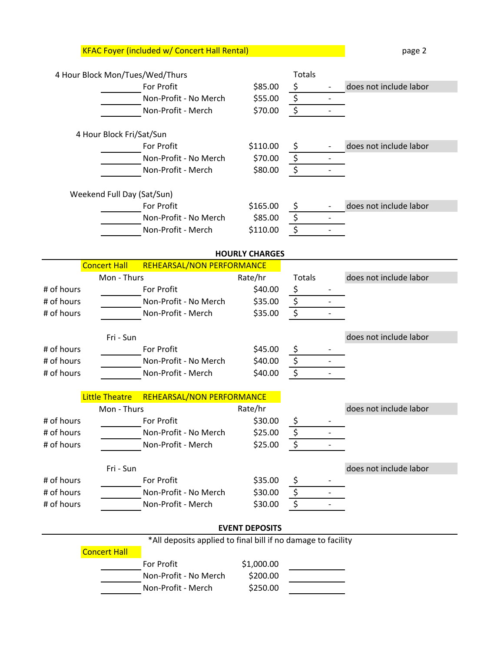KFAC Foyer (included w/ Concert Hall Rental) and page 2 page 2

|            |                            | 4 Hour Block Mon/Tues/Wed/Thurs                              |                       | <b>Totals</b>          |                        |
|------------|----------------------------|--------------------------------------------------------------|-----------------------|------------------------|------------------------|
|            |                            | <b>For Profit</b>                                            | \$85.00               | \$                     | does not include labor |
|            |                            | Non-Profit - No Merch                                        | \$55.00               | \$                     |                        |
|            |                            | Non-Profit - Merch                                           | \$70.00               | $\overline{\xi}$       |                        |
|            | 4 Hour Block Fri/Sat/Sun   |                                                              |                       |                        |                        |
|            |                            | For Profit                                                   | \$110.00              | \$                     | does not include labor |
|            |                            | Non-Profit - No Merch                                        | \$70.00               | \$                     |                        |
|            |                            | Non-Profit - Merch                                           | \$80.00               | $\overline{\xi}$       |                        |
|            |                            |                                                              |                       |                        |                        |
|            | Weekend Full Day (Sat/Sun) | For Profit                                                   | \$165.00              |                        | does not include labor |
|            |                            | Non-Profit - No Merch                                        | \$85.00               | Ş                      |                        |
|            |                            |                                                              |                       | \$<br>$\overline{\xi}$ |                        |
|            |                            | Non-Profit - Merch                                           | \$110.00              |                        |                        |
|            |                            |                                                              | <b>HOURLY CHARGES</b> |                        |                        |
|            | <b>Concert Hall</b>        | REHEARSAL/NON PERFORMANCE                                    |                       |                        |                        |
|            | Mon - Thurs                |                                                              | Rate/hr               | <b>Totals</b>          | does not include labor |
| # of hours |                            | For Profit                                                   | \$40.00               | \$                     |                        |
| # of hours |                            | Non-Profit - No Merch                                        | \$35.00               | \$                     |                        |
| # of hours |                            | Non-Profit - Merch                                           | \$35.00               | $\overline{\varsigma}$ |                        |
|            | Fri - Sun                  |                                                              |                       |                        | does not include labor |
| # of hours |                            | For Profit                                                   | \$45.00               | \$                     |                        |
| # of hours |                            | Non-Profit - No Merch                                        | \$40.00               | $\overline{\xi}$       |                        |
| # of hours |                            | Non-Profit - Merch                                           | \$40.00               | $\overline{\xi}$       |                        |
|            | <b>Little Theatre</b>      | REHEARSAL/NON PERFORMANCE                                    |                       |                        |                        |
|            | Mon - Thurs                |                                                              | Rate/hr               |                        | does not include labor |
| # of hours |                            | For Profit                                                   | \$30.00               | Ş                      |                        |
| # of hours |                            | Non-Profit - No Merch                                        | \$25.00               | \$                     |                        |
| # of hours |                            | Non-Profit - Merch                                           | \$25.00               | \$                     |                        |
|            | Fri - Sun                  |                                                              |                       |                        | does not include labor |
| # of hours |                            | For Profit                                                   | \$35.00               |                        |                        |
| # of hours |                            | Non-Profit - No Merch                                        | \$30.00               | \$                     |                        |
| # of hours |                            | Non-Profit - Merch                                           | \$30.00               | \$                     |                        |
|            |                            |                                                              | <b>EVENT DEPOSITS</b> |                        |                        |
|            |                            | *All deposits applied to final bill if no damage to facility |                       |                        |                        |
|            | <b>Concert Hall</b>        |                                                              |                       |                        |                        |
|            |                            |                                                              | \$1,000.00            |                        |                        |
|            |                            | For Profit                                                   |                       |                        |                        |
|            |                            | Non-Profit - No Merch                                        | \$200.00              |                        |                        |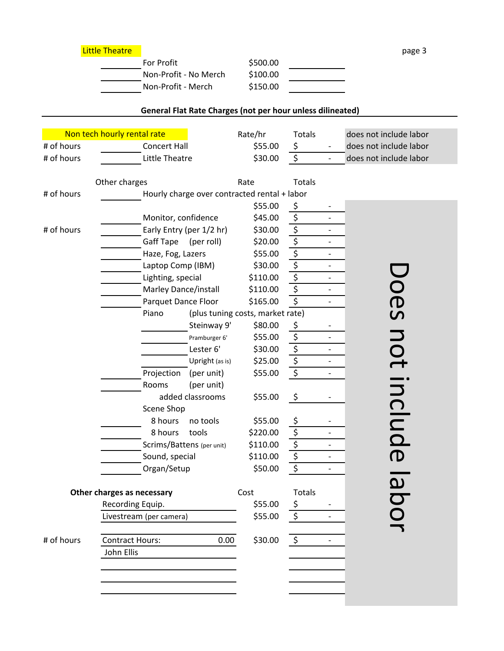| For Profit            | \$500.00 |  |
|-----------------------|----------|--|
| Non-Profit - No Merch | \$100.00 |  |
| Non-Profit - Merch    | \$150.00 |  |

## **General Flat Rate Charges (not per hour unless dilineated)**

|            | Non tech hourly rental rate                  | Rate/hr                          | Totals                                         |                          | does not include labor |
|------------|----------------------------------------------|----------------------------------|------------------------------------------------|--------------------------|------------------------|
| # of hours | <b>Concert Hall</b>                          |                                  | \$55.00<br>\$                                  |                          | does not include labor |
| # of hours | Little Theatre                               |                                  | $\zeta$<br>\$30.00                             | $\qquad \qquad -$        | does not include labor |
|            |                                              |                                  |                                                |                          |                        |
|            | Other charges                                | Rate                             | <b>Totals</b>                                  |                          |                        |
| # of hours | Hourly charge over contracted rental + labor |                                  |                                                |                          |                        |
|            |                                              |                                  | \$55.00<br>\$                                  |                          |                        |
|            | Monitor, confidence                          |                                  | \$<br>\$45.00                                  | $\overline{\phantom{a}}$ |                        |
| # of hours | Early Entry (per 1/2 hr)                     |                                  | $\overline{\xi}$<br>\$30.00                    |                          |                        |
|            | Gaff Tape<br>(per roll)                      |                                  | $\overline{\xi}$<br>\$20.00                    | $\overline{a}$           |                        |
|            | Haze, Fog, Lazers                            |                                  | $\overline{\xi}$<br>\$55.00                    |                          |                        |
|            | Laptop Comp (IBM)                            |                                  | $\zeta$<br>\$30.00                             |                          |                        |
|            | Lighting, special                            | \$110.00                         | $\overline{\boldsymbol{\varsigma}}$            | $\overline{\phantom{a}}$ |                        |
|            | Marley Dance/install                         | \$110.00                         | $\overline{\boldsymbol{\varsigma}}$            |                          |                        |
|            | Parquet Dance Floor                          | \$165.00                         | \$                                             | $\overline{a}$           |                        |
|            | Piano                                        | (plus tuning costs, market rate) |                                                |                          | Does                   |
|            |                                              | Steinway 9'                      | \$80.00<br>\$                                  |                          |                        |
|            |                                              | Pramburger 6'                    | \$<br>\$55.00                                  |                          | <b>NOt</b>             |
|            | Lester 6'                                    |                                  | $\overline{\boldsymbol{\varsigma}}$<br>\$30.00 |                          |                        |
|            |                                              | Upright (as is)                  | $\overline{\xi}$<br>\$25.00                    |                          |                        |
|            | Projection                                   | (per unit)                       | $\overline{\xi}$<br>\$55.00                    |                          |                        |
|            | Rooms                                        | (per unit)                       |                                                |                          | include                |
|            | added classrooms                             |                                  | \$<br>\$55.00                                  |                          |                        |
|            | Scene Shop                                   |                                  |                                                |                          |                        |
|            | 8 hours<br>no tools                          |                                  | \$55.00<br>\$                                  |                          |                        |
|            | 8 hours<br>tools                             | \$220.00                         | $\overline{\boldsymbol{\zeta}}$                | $\overline{a}$           |                        |
|            | Scrims/Battens (per unit)                    | \$110.00                         | $\overline{\xi}$                               | $\overline{\phantom{0}}$ |                        |
|            | Sound, special                               | \$110.00                         | $\overline{\boldsymbol{\varsigma}}$            |                          |                        |
|            | Organ/Setup                                  |                                  | $\boldsymbol{\zeta}$<br>\$50.00                | $\overline{\phantom{0}}$ |                        |
|            |                                              |                                  |                                                |                          |                        |
|            | Other charges as necessary                   | Cost                             | Totals                                         |                          |                        |
|            | Recording Equip.                             |                                  | \$55.00<br>\$                                  |                          |                        |
|            | Livestream (per camera)                      |                                  | \$55.00<br>\$                                  |                          |                        |
| # of hours | <b>Contract Hours:</b>                       | 0.00                             | \$<br>\$30.00                                  | $\overline{a}$           |                        |
|            | John Ellis                                   |                                  |                                                |                          |                        |
|            |                                              |                                  |                                                |                          |                        |
|            |                                              |                                  |                                                |                          |                        |
|            |                                              |                                  |                                                |                          |                        |
|            |                                              |                                  |                                                |                          |                        |